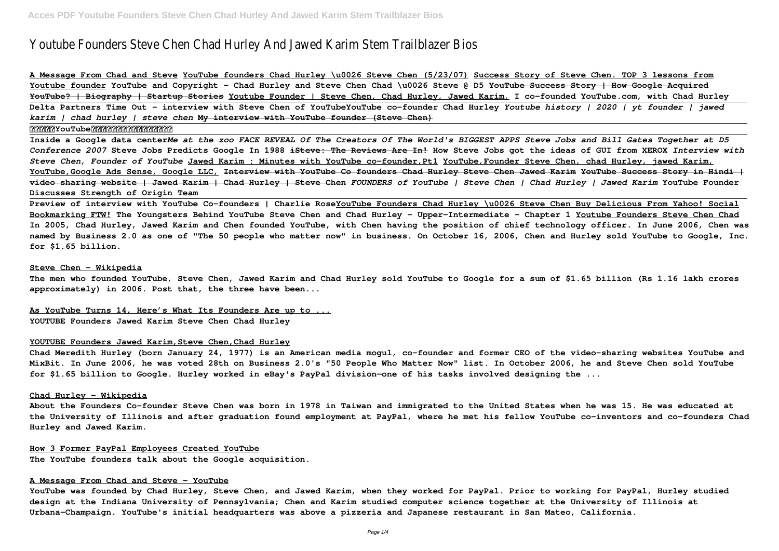# Youtube Founders Steve Chen Chad Hurley And Jawed Karim Stem Trailblazer Bios

**A Message From Chad and Steve YouTube founders Chad Hurley \u0026 Steve Chen (5/23/07) Success Story of Steve Chen. TOP 3 lessons from Youtube founder YouTube and Copyright - Chad Hurley and Steve Chen Chad \u0026 Steve @ D5 YouTube Success Story | How Google Acquired YouTube? | Biography | Startup Stories Youtube Founder | Steve Chen, Chad Hurley, Jawed Karim, I co-founded YouTube.com, with Chad Hurley Delta Partners Time Out - interview with Steve Chen of YouTubeYouTube co-founder Chad Hurley** *Youtube history | 2020 | yt founder | jawed karim | chad hurley | steve chen* **My interview with YouTube founder (Steve Chen)**

#### **返鄉好難?YouTube創辦人回台竟花了兩年!|遠見雜誌**

**Inside a Google data center***Me at the zoo FACE REVEAL Of The Creators Of The World's BIGGEST APPS Steve Jobs and Bill Gates Together at D5 Conference 2007* **Steve Jobs Predicts Google In 1988 iSteve: The Reviews Are In! How Steve Jobs got the ideas of GUI from XEROX** *Interview with Steve Chen, Founder of YouTube* **Jawed Karim : Minutes with YouTube co-founder,Pt1 YouTube,Founder Steve Chen, chad Hurley, jawed Karim, YouTube,Google Ads Sense, Google LLC, Interview with YouTube Co founders Chad Hurley Steve Chen Jawed Karim YouTube Success Story in Hindi | video sharing website | Jawed Karim | Chad Hurley | Steve Chen** *FOUNDERS of YouTube | Steve Chen | Chad Hurley | Jawed Karim* **YouTube Founder Discusses Strength of Origin Team**

**Preview of interview with YouTube Co-founders | Charlie RoseYouTube Founders Chad Hurley \u0026 Steve Chen Buy Delicious From Yahoo! Social Bookmarking FTW! The Youngsters Behind YouTube Steve Chen and Chad Hurley - Upper-Intermediate - Chapter 1 Youtube Founders Steve Chen Chad In 2005, Chad Hurley, Jawed Karim and Chen founded YouTube, with Chen having the position of chief technology officer. In June 2006, Chen was named by Business 2.0 as one of "The 50 people who matter now" in business. On October 16, 2006, Chen and Hurley sold YouTube to Google, Inc. for \$1.65 billion.**

## **Steve Chen - Wikipedia**

**The men who founded YouTube, Steve Chen, Jawed Karim and Chad Hurley sold YouTube to Google for a sum of \$1.65 billion (Rs 1.16 lakh crores approximately) in 2006. Post that, the three have been...**

**As YouTube Turns 14, Here's What Its Founders Are up to ... YOUTUBE Founders Jawed Karim Steve Chen Chad Hurley**

# **YOUTUBE Founders Jawed Karim,Steve Chen,Chad Hurley**

**Chad Meredith Hurley (born January 24, 1977) is an American media mogul, co-founder and former CEO of the video-sharing websites YouTube and MixBit. In June 2006, he was voted 28th on Business 2.0's "50 People Who Matter Now" list. In October 2006, he and Steve Chen sold YouTube for \$1.65 billion to Google. Hurley worked in eBay's PayPal division—one of his tasks involved designing the ...**

#### **Chad Hurley - Wikipedia**

**About the Founders Co-founder Steve Chen was born in 1978 in Taiwan and immigrated to the United States when he was 15. He was educated at the University of Illinois and after graduation found employment at PayPal, where he met his fellow YouTube co-inventors and co-founders Chad Hurley and Jawed Karim.**

## **How 3 Former PayPal Employees Created YouTube**

**The YouTube founders talk about the Google acquisition.**

# **A Message From Chad and Steve - YouTube**

**YouTube was founded by Chad Hurley, Steve Chen, and Jawed Karim, when they worked for PayPal. Prior to working for PayPal, Hurley studied design at the Indiana University of Pennsylvania; Chen and Karim studied computer science together at the University of Illinois at Urbana–Champaign. YouTube's initial headquarters was above a pizzeria and Japanese restaurant in San Mateo, California.**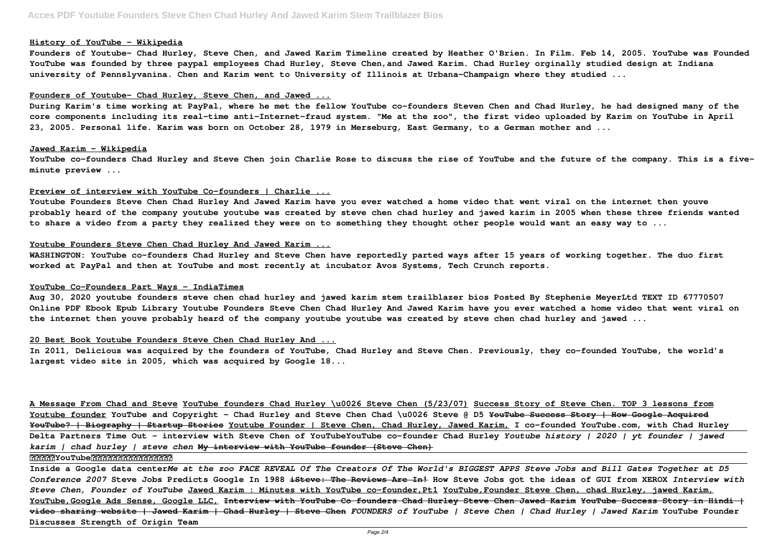## **History of YouTube - Wikipedia**

**Founders of Youtube- Chad Hurley, Steve Chen, and Jawed Karim Timeline created by Heather O'Brien. In Film. Feb 14, 2005. YouTube was Founded YouTube was founded by three paypal employees Chad Hurley, Steve Chen,and Jawed Karim. Chad Hurley orginally studied design at Indiana university of Pennslyvanina. Chen and Karim went to University of Illinois at Urbana-Champaign where they studied ...**

## **Founders of Youtube- Chad Hurley, Steve Chen, and Jawed ...**

**During Karim's time working at PayPal, where he met the fellow YouTube co-founders Steven Chen and Chad Hurley, he had designed many of the core components including its real-time anti-Internet-fraud system. "Me at the zoo", the first video uploaded by Karim on YouTube in April 23, 2005. Personal life. Karim was born on October 28, 1979 in Merseburg, East Germany, to a German mother and ...**

## **Jawed Karim - Wikipedia**

**YouTube co-founders Chad Hurley and Steve Chen join Charlie Rose to discuss the rise of YouTube and the future of the company. This is a fiveminute preview ...**

## **Preview of interview with YouTube Co-founders | Charlie ...**

**Youtube Founders Steve Chen Chad Hurley And Jawed Karim have you ever watched a home video that went viral on the internet then youve probably heard of the company youtube youtube was created by steve chen chad hurley and jawed karim in 2005 when these three friends wanted to share a video from a party they realized they were on to something they thought other people would want an easy way to ...**

## **Youtube Founders Steve Chen Chad Hurley And Jawed Karim ...**

**WASHINGTON: YouTube co-founders Chad Hurley and Steve Chen have reportedly parted ways after 15 years of working together. The duo first worked at PayPal and then at YouTube and most recently at incubator Avos Systems, Tech Crunch reports.**

## **YouTube Co-Founders Part Ways - IndiaTimes**

**Aug 30, 2020 youtube founders steve chen chad hurley and jawed karim stem trailblazer bios Posted By Stephenie MeyerLtd TEXT ID 67770507 Online PDF Ebook Epub Library Youtube Founders Steve Chen Chad Hurley And Jawed Karim have you ever watched a home video that went viral on the internet then youve probably heard of the company youtube youtube was created by steve chen chad hurley and jawed ...**

# **20 Best Book Youtube Founders Steve Chen Chad Hurley And ...**

**In 2011, Delicious was acquired by the founders of YouTube, Chad Hurley and Steve Chen. Previously, they co-founded YouTube, the world's largest video site in 2005, which was acquired by Google 18...**

**A Message From Chad and Steve YouTube founders Chad Hurley \u0026 Steve Chen (5/23/07) Success Story of Steve Chen. TOP 3 lessons from Youtube founder YouTube and Copyright - Chad Hurley and Steve Chen Chad \u0026 Steve @ D5 YouTube Success Story | How Google Acquired YouTube? | Biography | Startup Stories Youtube Founder | Steve Chen, Chad Hurley, Jawed Karim, I co-founded YouTube.com, with Chad Hurley Delta Partners Time Out - interview with Steve Chen of YouTubeYouTube co-founder Chad Hurley** *Youtube history | 2020 | yt founder | jawed karim | chad hurley | steve chen* **My interview with YouTube founder (Steve Chen)**

# **返鄉好難?YouTube創辦人回台竟花了兩年!|遠見雜誌**

**Inside a Google data center***Me at the zoo FACE REVEAL Of The Creators Of The World's BIGGEST APPS Steve Jobs and Bill Gates Together at D5 Conference 2007* **Steve Jobs Predicts Google In 1988 iSteve: The Reviews Are In! How Steve Jobs got the ideas of GUI from XEROX** *Interview with Steve Chen, Founder of YouTube* **Jawed Karim : Minutes with YouTube co-founder,Pt1 YouTube,Founder Steve Chen, chad Hurley, jawed Karim, YouTube,Google Ads Sense, Google LLC, Interview with YouTube Co founders Chad Hurley Steve Chen Jawed Karim YouTube Success Story in Hindi | video sharing website | Jawed Karim | Chad Hurley | Steve Chen** *FOUNDERS of YouTube | Steve Chen | Chad Hurley | Jawed Karim* **YouTube Founder Discusses Strength of Origin Team**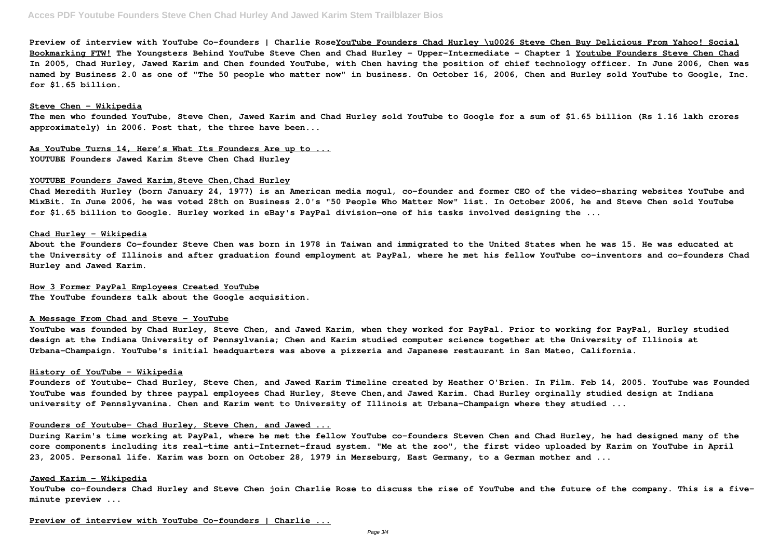**Preview of interview with YouTube Co-founders | Charlie RoseYouTube Founders Chad Hurley \u0026 Steve Chen Buy Delicious From Yahoo! Social Bookmarking FTW! The Youngsters Behind YouTube Steve Chen and Chad Hurley - Upper-Intermediate - Chapter 1 Youtube Founders Steve Chen Chad In 2005, Chad Hurley, Jawed Karim and Chen founded YouTube, with Chen having the position of chief technology officer. In June 2006, Chen was named by Business 2.0 as one of "The 50 people who matter now" in business. On October 16, 2006, Chen and Hurley sold YouTube to Google, Inc. for \$1.65 billion.**

#### **Steve Chen - Wikipedia**

**The men who founded YouTube, Steve Chen, Jawed Karim and Chad Hurley sold YouTube to Google for a sum of \$1.65 billion (Rs 1.16 lakh crores approximately) in 2006. Post that, the three have been...**

**As YouTube Turns 14, Here's What Its Founders Are up to ... YOUTUBE Founders Jawed Karim Steve Chen Chad Hurley**

#### **YOUTUBE Founders Jawed Karim,Steve Chen,Chad Hurley**

**Chad Meredith Hurley (born January 24, 1977) is an American media mogul, co-founder and former CEO of the video-sharing websites YouTube and MixBit. In June 2006, he was voted 28th on Business 2.0's "50 People Who Matter Now" list. In October 2006, he and Steve Chen sold YouTube for \$1.65 billion to Google. Hurley worked in eBay's PayPal division—one of his tasks involved designing the ...**

## **Chad Hurley - Wikipedia**

**About the Founders Co-founder Steve Chen was born in 1978 in Taiwan and immigrated to the United States when he was 15. He was educated at the University of Illinois and after graduation found employment at PayPal, where he met his fellow YouTube co-inventors and co-founders Chad Hurley and Jawed Karim.**

## **How 3 Former PayPal Employees Created YouTube**

**The YouTube founders talk about the Google acquisition.**

## **A Message From Chad and Steve - YouTube**

**YouTube was founded by Chad Hurley, Steve Chen, and Jawed Karim, when they worked for PayPal. Prior to working for PayPal, Hurley studied design at the Indiana University of Pennsylvania; Chen and Karim studied computer science together at the University of Illinois at Urbana–Champaign. YouTube's initial headquarters was above a pizzeria and Japanese restaurant in San Mateo, California.**

#### **History of YouTube - Wikipedia**

**Founders of Youtube- Chad Hurley, Steve Chen, and Jawed Karim Timeline created by Heather O'Brien. In Film. Feb 14, 2005. YouTube was Founded YouTube was founded by three paypal employees Chad Hurley, Steve Chen,and Jawed Karim. Chad Hurley orginally studied design at Indiana university of Pennslyvanina. Chen and Karim went to University of Illinois at Urbana-Champaign where they studied ...**

## **Founders of Youtube- Chad Hurley, Steve Chen, and Jawed ...**

**During Karim's time working at PayPal, where he met the fellow YouTube co-founders Steven Chen and Chad Hurley, he had designed many of the core components including its real-time anti-Internet-fraud system. "Me at the zoo", the first video uploaded by Karim on YouTube in April 23, 2005. Personal life. Karim was born on October 28, 1979 in Merseburg, East Germany, to a German mother and ...**

## **Jawed Karim - Wikipedia**

**YouTube co-founders Chad Hurley and Steve Chen join Charlie Rose to discuss the rise of YouTube and the future of the company. This is a fiveminute preview ...**

# **Preview of interview with YouTube Co-founders | Charlie ...**